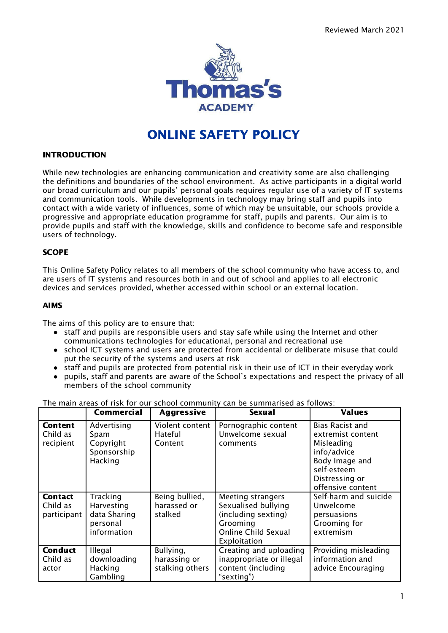

# ONLINE SAFETY POLICY

## INTRODUCTION

While new technologies are enhancing communication and creativity some are also challenging the definitions and boundaries of the school environment. As active participants in a digital world our broad curriculum and our pupils' personal goals requires regular use of a variety of IT systems and communication tools. While developments in technology may bring staff and pupils into contact with a wide variety of influences, some of which may be unsuitable, our schools provide a progressive and appropriate education programme for staff, pupils and parents. Our aim is to provide pupils and staff with the knowledge, skills and confidence to become safe and responsible users of technology.

# **SCOPE**

This Online Safety Policy relates to all members of the school community who have access to, and are users of IT systems and resources both in and out of school and applies to all electronic devices and services provided, whether accessed within school or an external location.

#### AIMS

The aims of this policy are to ensure that:

- staff and pupils are responsible users and stay safe while using the Internet and other communications technologies for educational, personal and recreational use
- school ICT systems and users are protected from accidental or deliberate misuse that could put the security of the systems and users at risk
- staff and pupils are protected from potential risk in their use of ICT in their everyday work
- pupils, staff and parents are aware of the School's expectations and respect the privacy of all members of the school community

|                                           | <b>Commercial</b>                                                 | <b>Aggressive</b>                            | <b>Sexual</b>                                                                                                                    | <b>Values</b>                                                                                                                                    |
|-------------------------------------------|-------------------------------------------------------------------|----------------------------------------------|----------------------------------------------------------------------------------------------------------------------------------|--------------------------------------------------------------------------------------------------------------------------------------------------|
| <b>Content</b><br>Child as<br>recipient   | Advertising<br>Spam<br>Copyright<br>Sponsorship<br>Hacking        | Violent content<br>Hateful<br>Content        | Pornographic content<br>Unwelcome sexual<br>comments                                                                             | <b>Bias Racist and</b><br>extremist content<br>Misleading<br>info/advice<br>Body Image and<br>self-esteem<br>Distressing or<br>offensive content |
| <b>Contact</b><br>Child as<br>participant | Tracking<br>Harvesting<br>data Sharing<br>personal<br>information | Being bullied,<br>harassed or<br>stalked     | <b>Meeting strangers</b><br>Sexualised bullying<br>(including sexting)<br>Grooming<br><b>Online Child Sexual</b><br>Exploitation | Self-harm and suicide<br>Unwelcome<br>persuasions<br>Grooming for<br>extremism                                                                   |
| <b>Conduct</b><br>Child as<br>actor       | Illegal<br>downloading<br>Hacking<br>Gambling                     | Bullying,<br>harassing or<br>stalking others | Creating and uploading<br>inappropriate or illegal<br>content (including<br>"sexting")                                           | Providing misleading<br>information and<br>advice Encouraging                                                                                    |

The main areas of risk for our school community can be summarised as follows: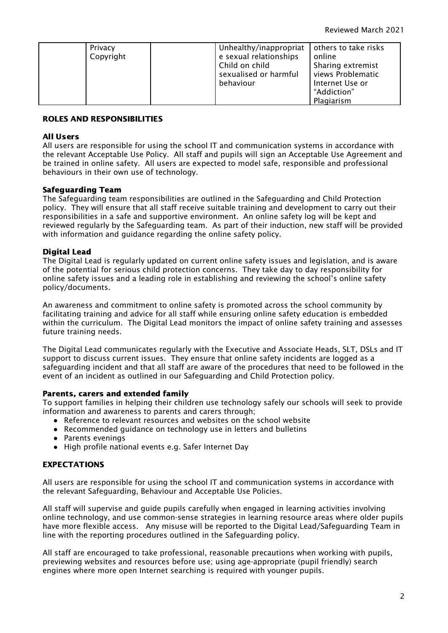| Privacy   | Unhealthy/inappropriat | others to take risks |
|-----------|------------------------|----------------------|
| Copyright | e sexual relationships | online               |
|           | Child on child         | Sharing extremist    |
|           | sexualised or harmful  | views Problematic    |
|           | behaviour              | Internet Use or      |
|           |                        | "Addiction"          |
|           |                        | Plagiarism           |

# ROLES AND RESPONSIBILITIES

#### All Users

All users are responsible for using the school IT and communication systems in accordance with the relevant Acceptable Use Policy. All staff and pupils will sign an Acceptable Use Agreement and be trained in online safety. All users are expected to model safe, responsible and professional behaviours in their own use of technology.

## Safeguarding Team

The Safeguarding team responsibilities are outlined in the Safeguarding and Child Protection policy. They will ensure that all staff receive suitable training and development to carry out their responsibilities in a safe and supportive environment. An online safety log will be kept and reviewed regularly by the Safeguarding team. As part of their induction, new staff will be provided with information and guidance regarding the online safety policy.

## Digital Lead

The Digital Lead is regularly updated on current online safety issues and legislation, and is aware of the potential for serious child protection concerns. They take day to day responsibility for online safety issues and a leading role in establishing and reviewing the school's online safety policy/documents.

An awareness and commitment to online safety is promoted across the school community by facilitating training and advice for all staff while ensuring online safety education is embedded within the curriculum. The Digital Lead monitors the impact of online safety training and assesses future training needs.

The Digital Lead communicates regularly with the Executive and Associate Heads, SLT, DSLs and IT support to discuss current issues. They ensure that online safety incidents are logged as a safeguarding incident and that all staff are aware of the procedures that need to be followed in the event of an incident as outlined in our Safeguarding and Child Protection policy.

## Parents, carers and extended family

To support families in helping their children use technology safely our schools will seek to provide information and awareness to parents and carers through;

- Reference to relevant resources and websites on the school website
- Recommended guidance on technology use in letters and bulletins
- Parents evenings
- High profile national events e.g. Safer Internet Day

# EXPECTATIONS

All users are responsible for using the school IT and communication systems in accordance with the relevant Safeguarding, Behaviour and Acceptable Use Policies.

All staff will supervise and guide pupils carefully when engaged in learning activities involving online technology, and use common-sense strategies in learning resource areas where older pupils have more flexible access. Any misuse will be reported to the Digital Lead/Safeguarding Team in line with the reporting procedures outlined in the Safeguarding policy.

All staff are encouraged to take professional, reasonable precautions when working with pupils, previewing websites and resources before use; using age-appropriate (pupil friendly) search engines where more open Internet searching is required with younger pupils.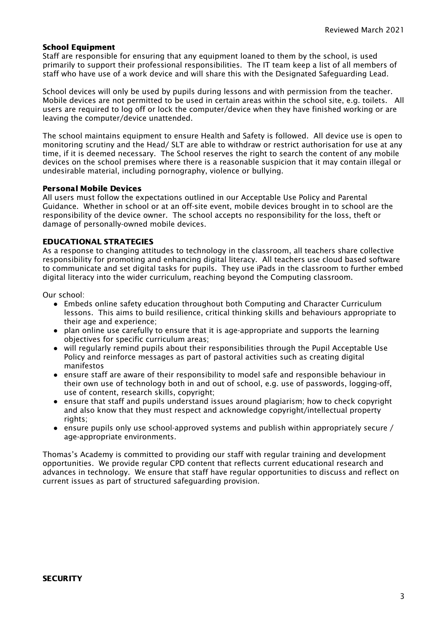#### School Equipment

Staff are responsible for ensuring that any equipment loaned to them by the school, is used primarily to support their professional responsibilities. The IT team keep a list of all members of staff who have use of a work device and will share this with the Designated Safeguarding Lead.

School devices will only be used by pupils during lessons and with permission from the teacher. Mobile devices are not permitted to be used in certain areas within the school site, e.g. toilets. All users are required to log off or lock the computer/device when they have finished working or are leaving the computer/device unattended.

The school maintains equipment to ensure Health and Safety is followed. All device use is open to monitoring scrutiny and the Head/ SLT are able to withdraw or restrict authorisation for use at any time, if it is deemed necessary. The School reserves the right to search the content of any mobile devices on the school premises where there is a reasonable suspicion that it may contain illegal or undesirable material, including pornography, violence or bullying.

## Personal Mobile Devices

All users must follow the expectations outlined in our Acceptable Use Policy and Parental Guidance. Whether in school or at an off-site event, mobile devices brought in to school are the responsibility of the device owner. The school accepts no responsibility for the loss, theft or damage of personally-owned mobile devices.

#### EDUCATIONAL STRATEGIES

As a response to changing attitudes to technology in the classroom, all teachers share collective responsibility for promoting and enhancing digital literacy. All teachers use cloud based software to communicate and set digital tasks for pupils. They use iPads in the classroom to further embed digital literacy into the wider curriculum, reaching beyond the Computing classroom.

Our school:

- Embeds online safety education throughout both Computing and Character Curriculum lessons. This aims to build resilience, critical thinking skills and behaviours appropriate to their age and experience;
- plan online use carefully to ensure that it is age-appropriate and supports the learning objectives for specific curriculum areas;
- will regularly remind pupils about their responsibilities through the Pupil Acceptable Use Policy and reinforce messages as part of pastoral activities such as creating digital manifestos
- ensure staff are aware of their responsibility to model safe and responsible behaviour in their own use of technology both in and out of school, e.g. use of passwords, logging-off, use of content, research skills, copyright;
- ensure that staff and pupils understand issues around plagiarism; how to check copyright and also know that they must respect and acknowledge copyright/intellectual property rights:
- ensure pupils only use school-approved systems and publish within appropriately secure / age-appropriate environments.

Thomas's Academy is committed to providing our staff with regular training and development opportunities. We provide regular CPD content that reflects current educational research and advances in technology. We ensure that staff have regular opportunities to discuss and reflect on current issues as part of structured safeguarding provision.

#### **SECURITY**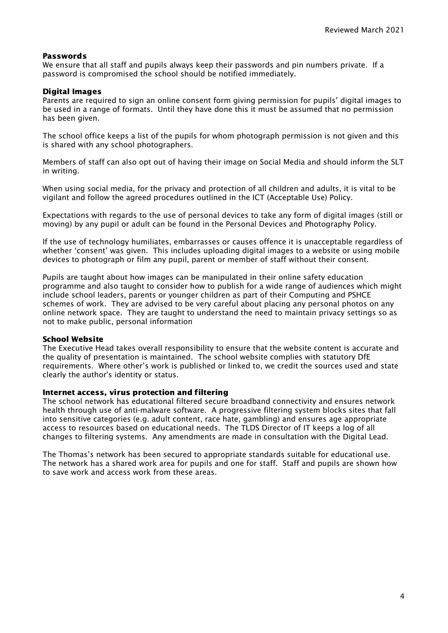#### Passwords

We ensure that all staff and pupils always keep their passwords and pin numbers private. If a password is compromised the school should be notified immediately.

#### Digital Images

Parents are required to sign an online consent form giving permission for pupils' digital images to be used in a range of formats. Until they have done this it must be assumed that no permission has been given.

The school office keeps a list of the pupils for whom photograph permission is not given and this is shared with any school photographers.

Members of staff can also opt out of having their image on Social Media and should inform the SLT in writing.

When using social media, for the privacy and protection of all children and adults, it is vital to be vigilant and follow the agreed procedures outlined in the ICT (Acceptable Use) Policy.

Expectations with regards to the use of personal devices to take any form of digital images (still or moving) by any pupil or adult can be found in the Personal Devices and Photography Policy.

If the use of technology humiliates, embarrasses or causes offence it is unacceptable regardless of whether 'consent' was given. This includes uploading digital images to a website or using mobile devices to photograph or film any pupil, parent or member of staff without their consent.

Pupils are taught about how images can be manipulated in their online safety education programme and also taught to consider how to publish for a wide range of audiences which might include school leaders, parents or younger children as part of their Computing and PSHCE schemes of work. They are advised to be very careful about placing any personal photos on any online network space. They are taught to understand the need to maintain privacy settings so as not to make public, personal information

#### School Website

The Executive Head takes overall responsibility to ensure that the website content is accurate and the quality of presentation is maintained. The school website complies with statutory DfE requirements. Where other's work is published or linked to, we credit the sources used and state clearly the author's identity or status.

#### Internet access, virus protection and filtering

The school network has educational filtered secure broadband connectivity and ensures network health through use of anti-malware software. A progressive filtering system blocks sites that fall into sensitive categories (e.g. adult content, race hate, gambling) and ensures age appropriate access to resources based on educational needs. The TLDS Director of IT keeps a log of all changes to filtering systems. Any amendments are made in consultation with the Digital Lead.

The Thomas's network has been secured to appropriate standards suitable for educational use. The network has a shared work area for pupils and one for staff. Staff and pupils are shown how to save work and access work from these areas.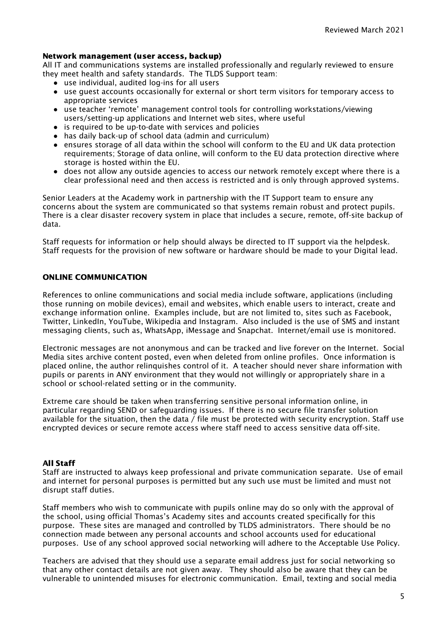#### Network management (user access, backup)

All IT and communications systems are installed professionally and regularly reviewed to ensure they meet health and safety standards. The TLDS Support team:

- use individual, audited log-ins for all users
- use guest accounts occasionally for external or short term visitors for temporary access to appropriate services
- use teacher 'remote' management control tools for controlling workstations/viewing users/setting-up applications and Internet web sites, where useful
- is required to be up-to-date with services and policies
- has daily back-up of school data (admin and curriculum)
- ensures storage of all data within the school will conform to the EU and UK data protection requirements; Storage of data online, will conform to the EU data [protection](http://en.wikipedia.org/wiki/Data_Protection_Directive) directive where storage is hosted within the EU.
- does not allow any outside agencies to access our network remotely except where there is a clear professional need and then access is restricted and is only through approved systems.

Senior Leaders at the Academy work in partnership with the IT Support team to ensure any concerns about the system are communicated so that systems remain robust and protect pupils. There is a clear disaster recovery system in place that includes a secure, remote, off-site backup of data.

Staff requests for information or help should always be directed to IT support via the helpdesk. Staff requests for the provision of new software or hardware should be made to your Digital lead.

#### ONLINE COMMUNICATION

References to online communications and social media include software, applications (including those running on mobile devices), email and websites, which enable users to interact, create and exchange information online. Examples include, but are not limited to, sites such as Facebook, Twitter, LinkedIn, YouTube, Wikipedia and Instagram. Also included is the use of SMS and instant messaging clients, such as, WhatsApp, iMessage and Snapchat. Internet/email use is monitored.

Electronic messages are not anonymous and can be tracked and live forever on the Internet. Social Media sites archive content posted, even when deleted from online profiles. Once information is placed online, the author relinquishes control of it. A teacher should never share information with pupils or parents in ANY environment that they would not willingly or appropriately share in a school or school-related setting or in the community.

Extreme care should be taken when transferring sensitive personal information online, in particular regarding SEND or safeguarding issues. If there is no secure file transfer solution available for the situation, then the data / file must be protected with security encryption. Staff use encrypted devices or secure remote access where staff need to access sensitive data off-site.

#### All Staff

Staff are instructed to always keep professional and private communication separate. Use of email and internet for personal purposes is permitted but any such use must be limited and must not disrupt staff duties.

Staff members who wish to communicate with pupils online may do so only with the approval of the school, using official Thomas's Academy sites and accounts created specifically for this purpose. These sites are managed and controlled by TLDS administrators. There should be no connection made between any personal accounts and school accounts used for educational purposes. Use of any school approved social networking will adhere to the Acceptable Use Policy.

Teachers are advised that they should use a separate email address just for social networking so that any other contact details are not given away. They should also be aware that they can be vulnerable to unintended misuses for electronic communication. Email, texting and social media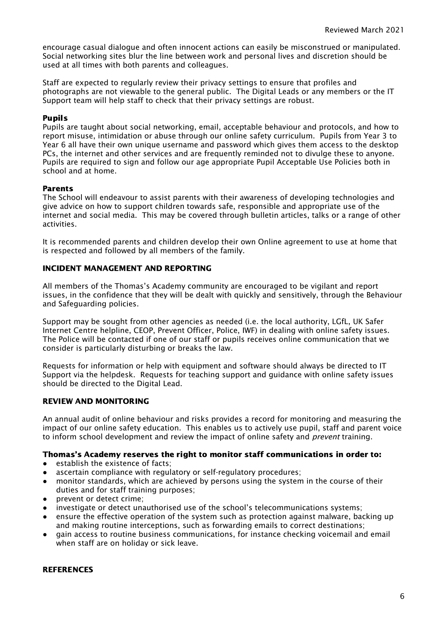encourage casual dialogue and often innocent actions can easily be misconstrued or manipulated. Social networking sites blur the line between work and personal lives and discretion should be used at all times with both parents and colleagues.

Staff are expected to regularly review their privacy settings to ensure that profiles and photographs are not viewable to the general public. The Digital Leads or any members or the IT Support team will help staff to check that their privacy settings are robust.

## Pupils

Pupils are taught about social networking, email, acceptable behaviour and protocols, and how to report misuse, intimidation or abuse through our online safety curriculum. Pupils from Year 3 to Year 6 all have their own unique username and password which gives them access to the desktop PCs, the internet and other services and are frequently reminded not to divulge these to anyone. Pupils are required to sign and follow our age appropriate Pupil Acceptable Use Policies both in school and at home.

#### Parents

The School will endeavour to assist parents with their awareness of developing technologies and give advice on how to support children towards safe, responsible and appropriate use of the internet and social media. This may be covered through bulletin articles, talks or a range of other activities.

It is recommended parents and children develop their own Online agreement to use at home that is respected and followed by all members of the family.

## INCIDENT MANAGEMENT AND REPORTING

All members of the Thomas's Academy community are encouraged to be vigilant and report issues, in the confidence that they will be dealt with quickly and sensitively, through the Behaviour and Safeguarding policies.

Support may be sought from other agencies as needed (i.e. the local authority, LGfL, UK Safer Internet Centre helpline, CEOP, Prevent Officer, Police, IWF) in dealing with online safety issues. The Police will be contacted if one of our staff or pupils receives online communication that we consider is particularly disturbing or breaks the law.

Requests for information or help with equipment and software should always be directed to IT Support via the helpdesk. Requests for teaching support and guidance with online safety issues should be directed to the Digital Lead.

#### REVIEW AND MONITORING

An annual audit of online behaviour and risks provides a record for monitoring and measuring the impact of our online safety education. This enables us to actively use pupil, staff and parent voice to inform school development and review the impact of online safety and *prevent* training.

# Thomas's Academy reserves the right to monitor staff communications in order to:

- establish the existence of facts;
- ascertain compliance with regulatory or self-regulatory procedures;
- monitor standards, which are achieved by persons using the system in the course of their duties and for staff training purposes;
- prevent or detect crime;
- investigate or detect unauthorised use of the school's telecommunications systems;
- ensure the effective operation of the system such as protection against malware, backing up and making routine interceptions, such as forwarding emails to correct destinations;
- gain access to routine business communications, for instance checking voicemail and email when staff are on holiday or sick leave.

#### **REFERENCES**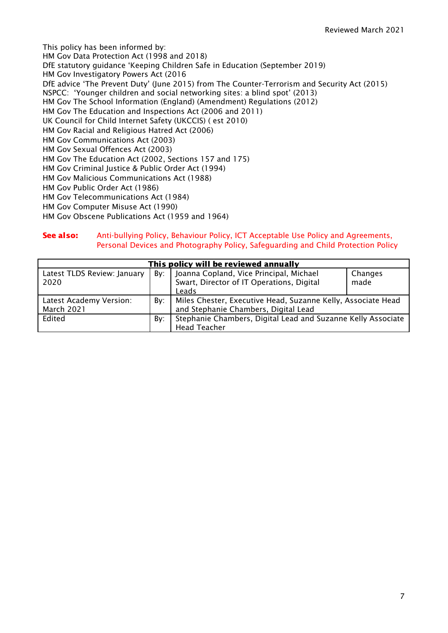This policy has been informed by: HM Gov Data Protection Act (1998 and 2018) DfE statutory guidance 'Keeping Children Safe in Education (September 2019) HM Gov Investigatory Powers Act (2016 DfE advice 'The Prevent Duty' (June 2015) from The Counter-Terrorism and Security Act (2015) NSPCC: 'Younger children and social networking sites: a blind spot' (2013) HM Gov The School Information (England) (Amendment) Regulations (2012) HM Gov The Education and Inspections Act (2006 and 2011) UK Council for Child Internet Safety (UKCCIS) ( est 2010) HM Gov Racial and Religious Hatred Act (2006) HM Gov Communications Act (2003) HM Gov Sexual Offences Act (2003) HM Gov The Education Act (2002, Sections 157 and 175) HM Gov Criminal Justice & Public Order Act (1994) HM Gov Malicious Communications Act (1988) HM Gov Public Order Act (1986) HM Gov Telecommunications Act (1984) HM Gov Computer Misuse Act (1990) HM Gov Obscene Publications Act (1959 and 1964)

## See also: Anti-bullying Policy, Behaviour Policy, ICT Acceptable Use Policy and Agreements, Personal Devices and Photography Policy, Safeguarding and Child Protection Policy

| This policy will be reviewed annually        |     |                                                                                                      |                 |  |  |  |
|----------------------------------------------|-----|------------------------------------------------------------------------------------------------------|-----------------|--|--|--|
| Latest TLDS Review: January<br>2020          | Bv: | Joanna Copland, Vice Principal, Michael<br>Swart, Director of IT Operations, Digital<br>Leads        | Changes<br>made |  |  |  |
| Latest Academy Version:<br><b>March 2021</b> | By: | Miles Chester, Executive Head, Suzanne Kelly, Associate Head<br>and Stephanie Chambers, Digital Lead |                 |  |  |  |
| Edited                                       | By: | Stephanie Chambers, Digital Lead and Suzanne Kelly Associate<br><b>Head Teacher</b>                  |                 |  |  |  |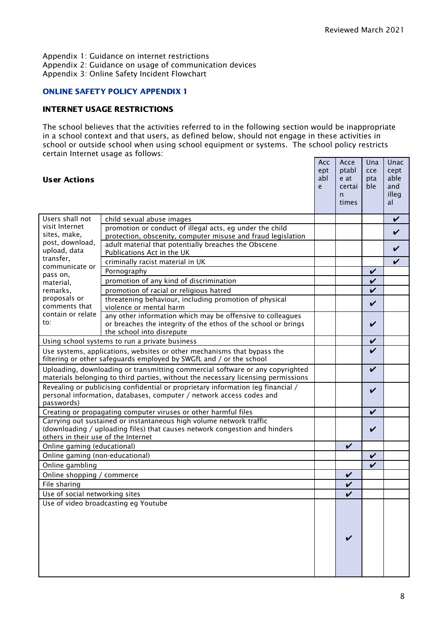Appendix 1: Guidance on internet restrictions Appendix 2: Guidance on usage of communication devices Appendix 3: Online Safety Incident Flowchart

# ONLINE SAFETY POLICY APPENDIX 1

#### INTERNET USAGE RESTRICTIONS

The school believes that the activities referred to in the following section would be inappropriate in a school context and that users, as defined below, should not engage in these activities in school or outside school when using school equipment or systems. The school policy restricts certain Internet usage as follows:

| <b>User Actions</b>                                                                                                                                                                      |                                                                                                                                                           | Acc<br>ept<br>abl<br>e | Acce<br>ptabl<br>e at<br>certai<br>$\mathsf{n}$<br>times | Una<br>cce<br>pta<br>ble.  | Unac<br>cept<br>able<br>and<br>illeg<br>al |
|------------------------------------------------------------------------------------------------------------------------------------------------------------------------------------------|-----------------------------------------------------------------------------------------------------------------------------------------------------------|------------------------|----------------------------------------------------------|----------------------------|--------------------------------------------|
| Users shall not<br>visit Internet<br>sites, make,<br>post, download,<br>upload, data<br>transfer,<br>communicate or<br>pass on,<br>material,                                             | child sexual abuse images                                                                                                                                 |                        |                                                          |                            | V                                          |
|                                                                                                                                                                                          | promotion or conduct of illegal acts, eg under the child<br>protection, obscenity, computer misuse and fraud legislation                                  |                        |                                                          |                            |                                            |
|                                                                                                                                                                                          | adult material that potentially breaches the Obscene<br>Publications Act in the UK                                                                        |                        |                                                          |                            |                                            |
|                                                                                                                                                                                          | criminally racist material in UK                                                                                                                          |                        |                                                          |                            | V                                          |
|                                                                                                                                                                                          | Pornography                                                                                                                                               |                        |                                                          | V                          |                                            |
|                                                                                                                                                                                          | promotion of any kind of discrimination                                                                                                                   |                        |                                                          | V                          |                                            |
| remarks.                                                                                                                                                                                 | promotion of racial or religious hatred                                                                                                                   |                        |                                                          | $\boldsymbol{\nu}$         |                                            |
| proposals or<br>comments that                                                                                                                                                            | threatening behaviour, including promotion of physical<br>violence or mental harm                                                                         |                        |                                                          | V                          |                                            |
| contain or relate<br>to:                                                                                                                                                                 | any other information which may be offensive to colleagues<br>or breaches the integrity of the ethos of the school or brings<br>the school into disrepute |                        |                                                          | V                          |                                            |
|                                                                                                                                                                                          | Using school systems to run a private business                                                                                                            |                        |                                                          | V                          |                                            |
| Use systems, applications, websites or other mechanisms that bypass the<br>filtering or other safeguards employed by SWGfL and / or the school                                           |                                                                                                                                                           |                        |                                                          | V                          |                                            |
| Uploading, downloading or transmitting commercial software or any copyrighted<br>materials belonging to third parties, without the necessary licensing permissions                       |                                                                                                                                                           |                        |                                                          | $\boldsymbol{\mathcal{U}}$ |                                            |
| Revealing or publicising confidential or proprietary information (eg financial /<br>personal information, databases, computer / network access codes and<br>passwords)                   |                                                                                                                                                           |                        |                                                          | V                          |                                            |
|                                                                                                                                                                                          | Creating or propagating computer viruses or other harmful files                                                                                           |                        |                                                          | $\boldsymbol{\nu}$         |                                            |
| Carrying out sustained or instantaneous high volume network traffic<br>(downloading / uploading files) that causes network congestion and hinders<br>others in their use of the Internet |                                                                                                                                                           |                        |                                                          | V                          |                                            |
| Online gaming (educational)                                                                                                                                                              |                                                                                                                                                           |                        | $\boldsymbol{\nu}$                                       |                            |                                            |
| Online gaming (non-educational)                                                                                                                                                          |                                                                                                                                                           |                        |                                                          | V                          |                                            |
| Online gambling                                                                                                                                                                          |                                                                                                                                                           |                        |                                                          | ✓                          |                                            |
| Online shopping / commerce                                                                                                                                                               |                                                                                                                                                           |                        | $\checkmark$                                             |                            |                                            |
| File sharing                                                                                                                                                                             |                                                                                                                                                           |                        | $\checkmark$                                             |                            |                                            |
| Use of social networking sites                                                                                                                                                           |                                                                                                                                                           |                        | $\boldsymbol{\nu}$                                       |                            |                                            |
|                                                                                                                                                                                          | Use of video broadcasting eg Youtube                                                                                                                      |                        |                                                          |                            |                                            |
|                                                                                                                                                                                          |                                                                                                                                                           |                        |                                                          |                            |                                            |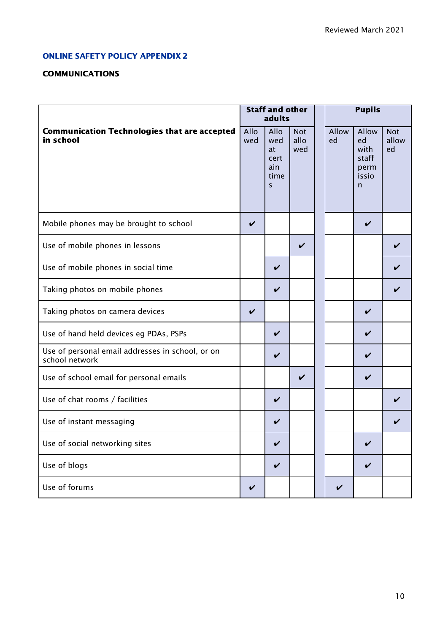# ONLINE SAFETY POLICY APPENDIX 2

# **COMMUNICATIONS**

|                                                                    | <b>Staff and other</b><br>adults |                                                          |                           | <b>Pupils</b> |                                                    |                           |  |
|--------------------------------------------------------------------|----------------------------------|----------------------------------------------------------|---------------------------|---------------|----------------------------------------------------|---------------------------|--|
| <b>Communication Technologies that are accepted</b><br>in school   | Allo<br>wed                      | Allo<br>wed<br>at<br>cert<br>ain<br>time<br>$\mathsf{S}$ | <b>Not</b><br>allo<br>wed | Allow<br>ed   | Allow<br>ed<br>with<br>staff<br>perm<br>issio<br>n | <b>Not</b><br>allow<br>ed |  |
| Mobile phones may be brought to school                             | $\boldsymbol{\nu}$               |                                                          |                           |               | V                                                  |                           |  |
| Use of mobile phones in lessons                                    |                                  |                                                          | V                         |               |                                                    |                           |  |
| Use of mobile phones in social time                                |                                  | $\boldsymbol{\nu}$                                       |                           |               |                                                    | V                         |  |
| Taking photos on mobile phones                                     |                                  | V                                                        |                           |               |                                                    |                           |  |
| Taking photos on camera devices                                    | V                                |                                                          |                           |               | V                                                  |                           |  |
| Use of hand held devices eg PDAs, PSPs                             |                                  | ✓                                                        |                           |               | V                                                  |                           |  |
| Use of personal email addresses in school, or on<br>school network |                                  | V                                                        |                           |               | V                                                  |                           |  |
| Use of school email for personal emails                            |                                  |                                                          | V                         |               | V                                                  |                           |  |
| Use of chat rooms / facilities                                     |                                  | V                                                        |                           |               |                                                    | V                         |  |
| Use of instant messaging                                           |                                  | V                                                        |                           |               |                                                    |                           |  |
| Use of social networking sites                                     |                                  | V                                                        |                           |               | $\checkmark$                                       |                           |  |
| Use of blogs                                                       |                                  | $\checkmark$                                             |                           |               | $\checkmark$                                       |                           |  |
| Use of forums                                                      | V                                |                                                          |                           | V             |                                                    |                           |  |